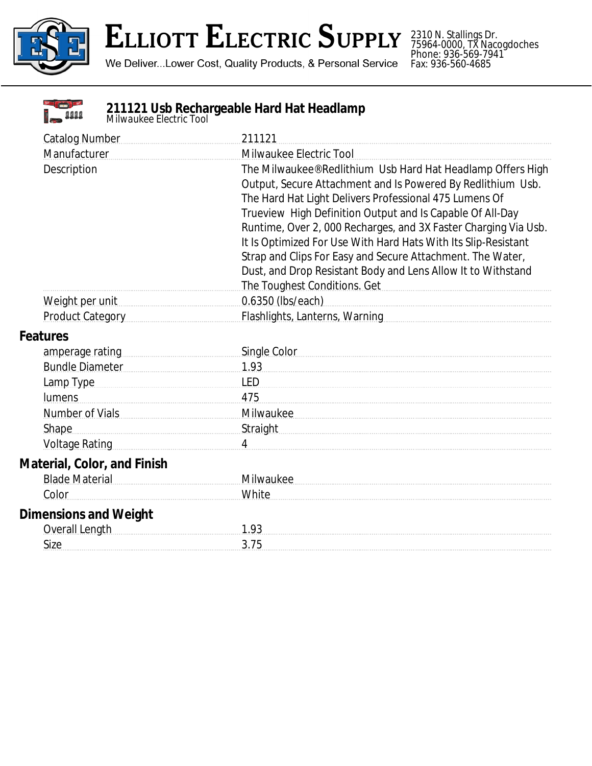

# ELLIOTT ELECTRIC SUPPLY

We Deliver...Lower Cost, Quality Products, & Personal Service

2310 N. Stallings Dr. 75964-0000, TX Nacogdoches Phone: 936-569-7941 Fax: 936-560-4685

| 9999                                                                                                                                                                                                                           | 211121 Usb Rechargeable Hard Hat Headlamp<br>Milwaukee Electric Tool                                                                                                                                                                                                                                                                                                                                                                                                                                                                                 |  |
|--------------------------------------------------------------------------------------------------------------------------------------------------------------------------------------------------------------------------------|------------------------------------------------------------------------------------------------------------------------------------------------------------------------------------------------------------------------------------------------------------------------------------------------------------------------------------------------------------------------------------------------------------------------------------------------------------------------------------------------------------------------------------------------------|--|
| <b>Catalog Number</b>                                                                                                                                                                                                          | 211121                                                                                                                                                                                                                                                                                                                                                                                                                                                                                                                                               |  |
| Manufacturer                                                                                                                                                                                                                   | Milwaukee Electric Tool                                                                                                                                                                                                                                                                                                                                                                                                                                                                                                                              |  |
| Description                                                                                                                                                                                                                    | The Milwaukee® Redlithium Usb Hard Hat Headlamp Offers High<br>Output, Secure Attachment and Is Powered By Redlithium Usb.<br>The Hard Hat Light Delivers Professional 475 Lumens Of<br>Trueview High Definition Output and Is Capable Of All-Day<br>Runtime, Over 2, 000 Recharges, and 3X Faster Charging Via Usb.<br>It Is Optimized For Use With Hard Hats With Its Slip-Resistant<br>Strap and Clips For Easy and Secure Attachment. The Water,<br>Dust, and Drop Resistant Body and Lens Allow It to Withstand<br>The Toughest Conditions. Get |  |
| Weight per unit                                                                                                                                                                                                                | 0.6350 (lbs/each)                                                                                                                                                                                                                                                                                                                                                                                                                                                                                                                                    |  |
| Product Category                                                                                                                                                                                                               | Flashlights, Lanterns, Warning [1994] [1995] [1995] [1996] [1996] [1996] [1996] [1996] [1996] [1996] [1996] [1                                                                                                                                                                                                                                                                                                                                                                                                                                       |  |
| <b>Features</b>                                                                                                                                                                                                                |                                                                                                                                                                                                                                                                                                                                                                                                                                                                                                                                                      |  |
| amperage rating example and annual contract of the same sense of the sense of the sense of the sense of the sense of the sense of the sense of the sense of the sense of the sense of the sense of the sense of the sense of t | Single Color                                                                                                                                                                                                                                                                                                                                                                                                                                                                                                                                         |  |
| Bundle Diameter                                                                                                                                                                                                                | 1.93                                                                                                                                                                                                                                                                                                                                                                                                                                                                                                                                                 |  |
| Lamp Type                                                                                                                                                                                                                      | <b>LED</b>                                                                                                                                                                                                                                                                                                                                                                                                                                                                                                                                           |  |
| <b>lumens</b>                                                                                                                                                                                                                  | 475                                                                                                                                                                                                                                                                                                                                                                                                                                                                                                                                                  |  |
| Number of Vials                                                                                                                                                                                                                | Milwaukee                                                                                                                                                                                                                                                                                                                                                                                                                                                                                                                                            |  |
| Shape                                                                                                                                                                                                                          | Straight                                                                                                                                                                                                                                                                                                                                                                                                                                                                                                                                             |  |
| Voltage Rating Management Control Control Control Control Control Control Control Control Control Control Control Control Control Control Control Control Control Control Control Control Control Control Control Control Cont | $\overline{4}$                                                                                                                                                                                                                                                                                                                                                                                                                                                                                                                                       |  |
| <b>Material, Color, and Finish</b><br>Blade Material                                                                                                                                                                           | Milwaukee                                                                                                                                                                                                                                                                                                                                                                                                                                                                                                                                            |  |
| Color                                                                                                                                                                                                                          | White                                                                                                                                                                                                                                                                                                                                                                                                                                                                                                                                                |  |
| <b>Dimensions and Weight</b>                                                                                                                                                                                                   |                                                                                                                                                                                                                                                                                                                                                                                                                                                                                                                                                      |  |
| Overall Length                                                                                                                                                                                                                 | 1.93                                                                                                                                                                                                                                                                                                                                                                                                                                                                                                                                                 |  |
| Size                                                                                                                                                                                                                           | 3.75                                                                                                                                                                                                                                                                                                                                                                                                                                                                                                                                                 |  |